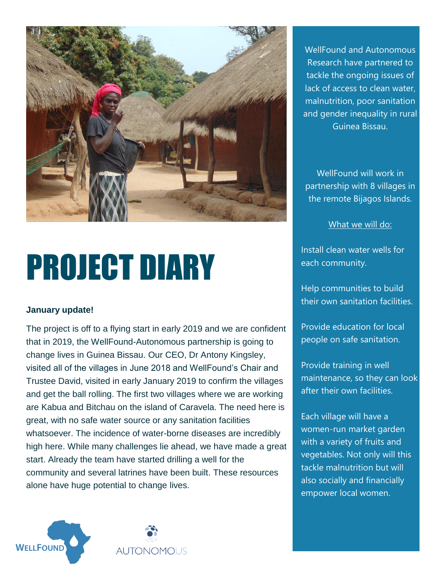

## PROJECT DIARY

## **January update!**

The project is off to a flying start in early 2019 and we are confident that in 2019, the WellFound-Autonomous partnership is going to change lives in Guinea Bissau. Our CEO, Dr Antony Kingsley, visited all of the villages in June 2018 and WellFound's Chair and Trustee David, visited in early January 2019 to confirm the villages and get the ball rolling. The first two villages where we are working are Kabua and Bitchau on the island of Caravela. The need here is great, with no safe water source or any sanitation facilities whatsoever. The incidence of water-borne diseases are incredibly high here. While many challenges lie ahead, we have made a great start. Already the team have started drilling a well for the community and several latrines have been built. These resources alone have huge potential to change lives.



WellFound will work in partnership with 8 villages in the remote Bijagos Islands.

What we will do:

Install clean water wells for each community.

Help communities to build their own sanitation facilities.

Provide education for local people on safe sanitation.

Provide training in well maintenance, so they can look after their own facilities.

Each village will have a women-run market garden with a variety of fruits and vegetables. Not only will this tackle malnutrition but will also socially and financially empower local women.